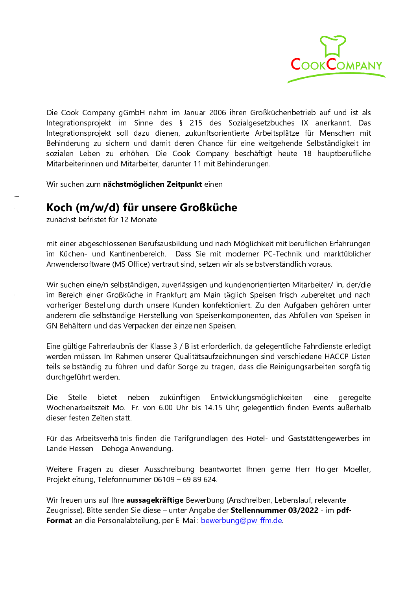

Die Cook Company gGmbH nahm im Januar 2006 ihren Großküchenbetrieb auf und ist als Integrationsprojekt im Sinne des § 215 des Sozialgesetzbuches IX anerkannt. Das Integrationsprojekt soll dazu dienen, zukunftsorientierte Arbeitsplätze für Menschen mit Behinderung zu sichern und damit deren Chance für eine weitgehende Selbständigkeit im sozialen Leben zu erhöhen. Die Cook Company beschäftigt heute 18 hauptberufliche Mitarbeiterinnen und Mitarbeiter, darunter 11 mit Behinderungen.

Wir suchen zum nächstmöglichen Zeitpunkt einen

## Koch (m/w/d) für unsere Großküche

zunächst befristet für 12 Monate

mit einer abgeschlossenen Berufsausbildung und nach Möglichkeit mit beruflichen Erfahrungen im Küchen- und Kantinenbereich. Dass Sie mit moderner PC-Technik und marktüblicher Anwendersoftware (MS Office) vertraut sind, setzen wir als selbstverständlich voraus.

Wir suchen eine/n selbständigen, zuverlässigen und kundenorientierten Mitarbeiter/-in, der/die im Bereich einer Großküche in Frankfurt am Main täglich Speisen frisch zubereitet und nach vorheriger Bestellung durch unsere Kunden konfektioniert. Zu den Aufgaben gehören unter anderem die selbständige Herstellung von Speisenkomponenten, das Abfüllen von Speisen in GN Behältern und das Verpacken der einzelnen Speisen.

Eine gültige Fahrerlaubnis der Klasse 3 / B ist erforderlich, da gelegentliche Fahrdienste erledigt werden müssen. Im Rahmen unserer Qualitätsaufzeichnungen sind verschiedene HACCP Listen teils selbständig zu führen und dafür Sorge zu tragen, dass die Reinigungsarbeiten sorgfältig durchgeführt werden.

Die Stelle bietet neben zukünftigen Entwicklungsmöglichkeiten eine geregelte Wochenarbeitszeit Mo.- Fr. von 6.00 Uhr bis 14.15 Uhr; gelegentlich finden Events außerhalb dieser festen Zeiten statt.

Für das Arbeitsverhältnis finden die Tarifgrundlagen des Hotel- und Gaststättengewerbes im Lande Hessen - Dehoga Anwendung.

Weitere Fragen zu dieser Ausschreibung beantwortet Ihnen gerne Herr Holger Moeller, Projektleitung, Telefonnummer 06109 - 69 89 624.

Wir freuen uns auf Ihre aussagekräftige Bewerbung (Anschreiben, Lebenslauf, relevante Zeugnisse). Bitte senden Sie diese – unter Angabe der Stellennummer 03/2022 - im pdf-Format an die Personalabteilung, per E-Mail: bewerbung@pw-ffm.de.